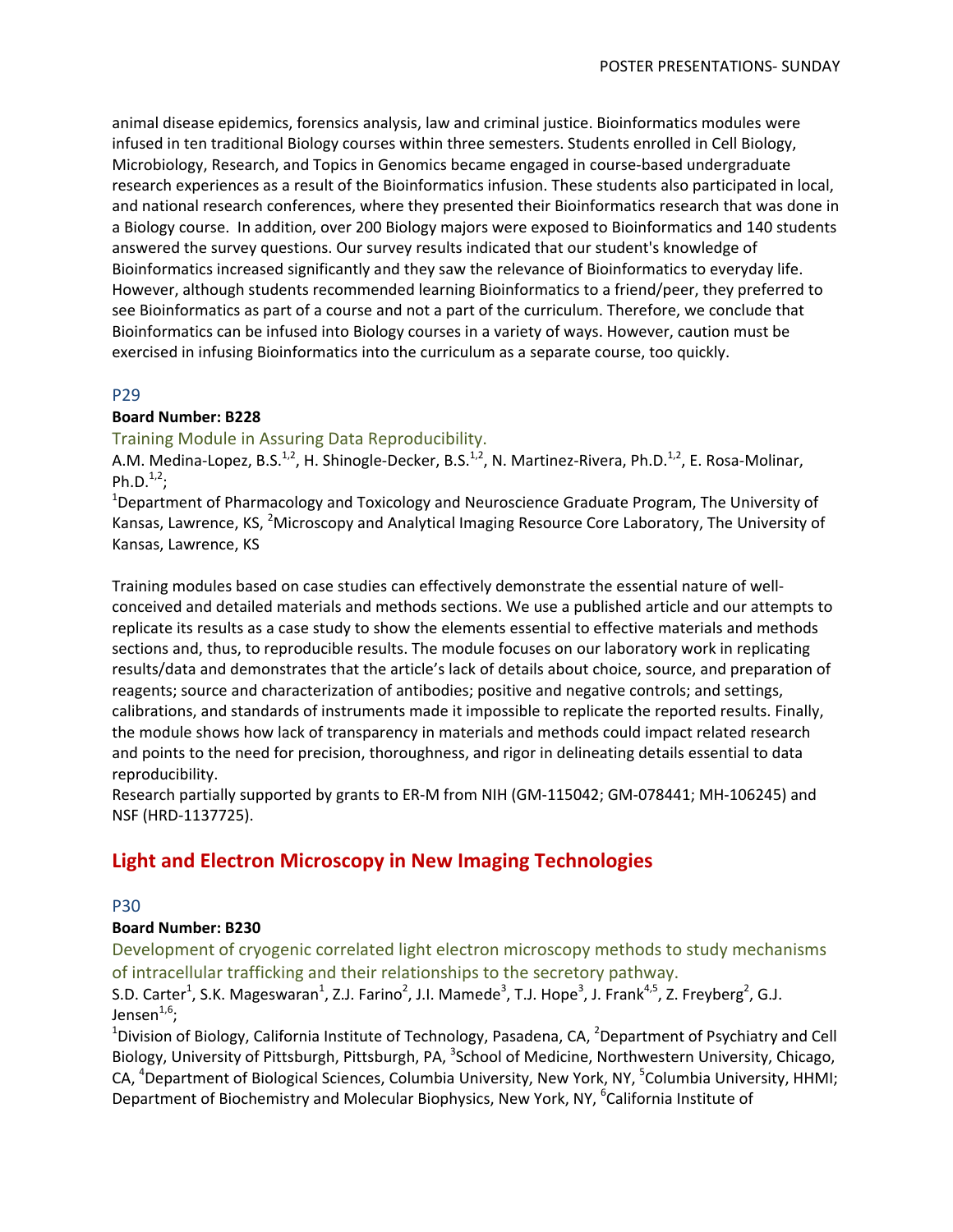animal disease epidemics, forensics analysis, law and criminal justice. Bioinformatics modules were infused in ten traditional Biology courses within three semesters. Students enrolled in Cell Biology, Microbiology, Research, and Topics in Genomics became engaged in course‐based undergraduate research experiences as a result of the Bioinformatics infusion. These students also participated in local, and national research conferences, where they presented their Bioinformatics research that was done in a Biology course. In addition, over 200 Biology majors were exposed to Bioinformatics and 140 students answered the survey questions. Our survey results indicated that our student's knowledge of Bioinformatics increased significantly and they saw the relevance of Bioinformatics to everyday life. However, although students recommended learning Bioinformatics to a friend/peer, they preferred to see Bioinformatics as part of a course and not a part of the curriculum. Therefore, we conclude that Bioinformatics can be infused into Biology courses in a variety of ways. However, caution must be exercised in infusing Bioinformatics into the curriculum as a separate course, too quickly.

### P29

#### **Board Number: B228**

## Training Module in Assuring Data Reproducibility.

A.M. Medina-Lopez, B.S.<sup>1,2</sup>, H. Shinogle-Decker, B.S.<sup>1,2</sup>, N. Martinez-Rivera, Ph.D.<sup>1,2</sup>, E. Rosa-Molinar, Ph.D. $^{1,2}$ ;

<sup>1</sup>Department of Pharmacology and Toxicology and Neuroscience Graduate Program, The University of Kansas, Lawrence, KS, <sup>2</sup>Microscopy and Analytical Imaging Resource Core Laboratory, The University of Kansas, Lawrence, KS

Training modules based on case studies can effectively demonstrate the essential nature of well‐ conceived and detailed materials and methods sections. We use a published article and our attempts to replicate its results as a case study to show the elements essential to effective materials and methods sections and, thus, to reproducible results. The module focuses on our laboratory work in replicating results/data and demonstrates that the article's lack of details about choice, source, and preparation of reagents; source and characterization of antibodies; positive and negative controls; and settings, calibrations, and standards of instruments made it impossible to replicate the reported results. Finally, the module shows how lack of transparency in materials and methods could impact related research and points to the need for precision, thoroughness, and rigor in delineating details essential to data reproducibility.

Research partially supported by grants to ER‐M from NIH (GM‐115042; GM‐078441; MH‐106245) and NSF (HRD‐1137725).

# **Light and Electron Microscopy in New Imaging Technologies**

#### P30

#### **Board Number: B230**

Development of cryogenic correlated light electron microscopy methods to study mechanisms of intracellular trafficking and their relationships to the secretory pathway.

S.D. Carter<sup>1</sup>, S.K. Mageswaran<sup>1</sup>, Z.J. Farino<sup>2</sup>, J.I. Mamede<sup>3</sup>, T.J. Hope<sup>3</sup>, J. Frank<sup>4,5</sup>, Z. Freyberg<sup>2</sup>, G.J. Jensen $1,6$ :

<sup>1</sup>Division of Biology, California Institute of Technology, Pasadena, CA, <sup>2</sup>Department of Psychiatry and Cell Biology, University of Pittsburgh, Pittsburgh, PA, <sup>3</sup>School of Medicine, Northwestern University, Chicago, CA, <sup>4</sup>Department of Biological Sciences, Columbia University, New York, NY, <sup>5</sup>Columbia University, HHMI; Department of Biochemistry and Molecular Biophysics, New York, NY, <sup>6</sup>California Institute of